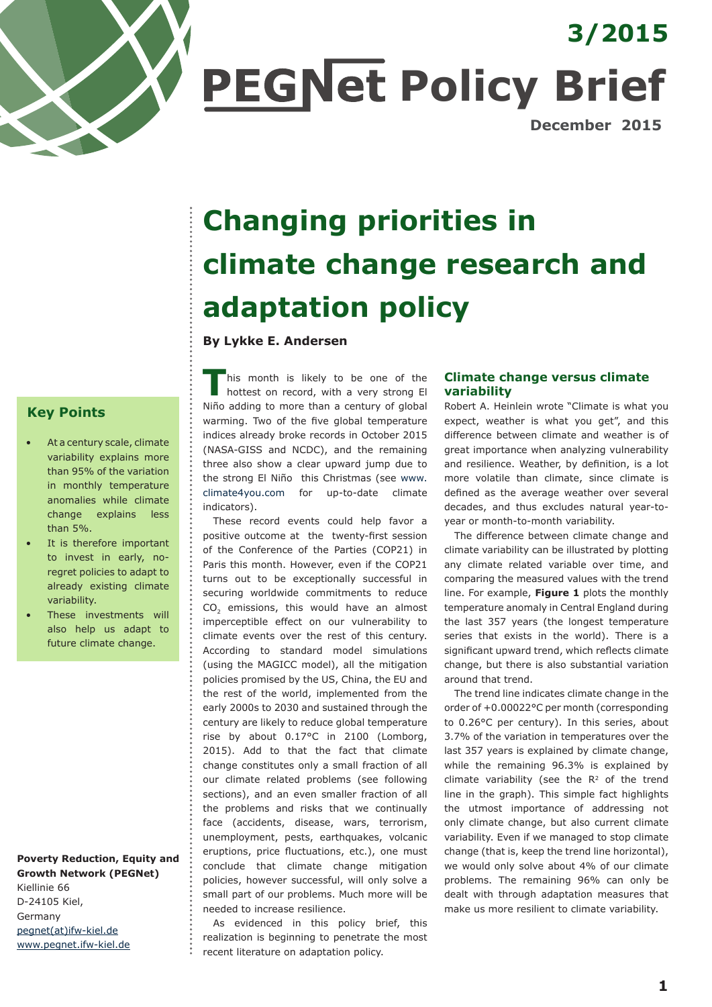

**PEGNet Policy Brief** 

**December 2015**

**3/2015**

# **Changing priorities in climate change research and adaptation policy**

### **By Lykke E. Andersen**

**T**his month is likely to be one of the hottest on record, with a very strong El Niño adding to more than a century of global warming. Two of the five global temperature indices already broke records in October 2015 (NASA-GISS and NCDC), and the remaining three also show a clear upward jump due to the strong El Niño this Christmas (see www. climate4you.com for up-to-date climate indicators).

These record events could help favor a positive outcome at the twenty-first session of the Conference of the Parties (COP21) in Paris this month. However, even if the COP21 turns out to be exceptionally successful in securing worldwide commitments to reduce CO<sub>2</sub> emissions, this would have an almost imperceptible effect on our vulnerability to climate events over the rest of this century. According to standard model simulations (using the MAGICC model), all the mitigation policies promised by the US, China, the EU and the rest of the world, implemented from the early 2000s to 2030 and sustained through the century are likely to reduce global temperature rise by about 0.17°C in 2100 (Lomborg, 2015). Add to that the fact that climate change constitutes only a small fraction of all our climate related problems (see following sections), and an even smaller fraction of all the problems and risks that we continually face (accidents, disease, wars, terrorism, unemployment, pests, earthquakes, volcanic eruptions, price fluctuations, etc.), one must conclude that climate change mitigation policies, however successful, will only solve a small part of our problems. Much more will be needed to increase resilience.

As evidenced in this policy brief, this realization is beginning to penetrate the most recent literature on adaptation policy.

## **Climate change versus climate variability**

Robert A. Heinlein wrote "Climate is what you expect, weather is what you get", and this difference between climate and weather is of great importance when analyzing vulnerability and resilience. Weather, by definition, is a lot more volatile than climate, since climate is defined as the average weather over several decades, and thus excludes natural year-toyear or month-to-month variability.

The difference between climate change and climate variability can be illustrated by plotting any climate related variable over time, and comparing the measured values with the trend line. For example, **[Figure 1](#page-1-0)** plots the monthly temperature anomaly in Central England during the last 357 years (the longest temperature series that exists in the world). There is a significant upward trend, which reflects climate change, but there is also substantial variation around that trend.

The trend line indicates climate change in the order of +0.00022°C per month (corresponding to 0.26°C per century). In this series, about 3.7% of the variation in temperatures over the last 357 years is explained by climate change, while the remaining 96.3% is explained by climate variability (see the  $R<sup>2</sup>$  of the trend line in the graph). This simple fact highlights the utmost importance of addressing not only climate change, but also current climate variability. Even if we managed to stop climate change (that is, keep the trend line horizontal), we would only solve about 4% of our climate problems. The remaining 96% can only be dealt with through adaptation measures that make us more resilient to climate variability.

# **Key Points**

- At a century scale, climate variability explains more than 95% of the variation in monthly temperature anomalies while climate change explains less than 5%.
- It is therefore important to invest in early, noregret policies to adapt to already existing climate variability.
- These investments will also help us adapt to future climate change.

**Poverty Reduction, Equity and Growth Network (PEGNet)** Kiellinie 66 D-24105 Kiel, Germany pegnet(at)ifw-kiel.de www.pegnet.ifw-kiel.de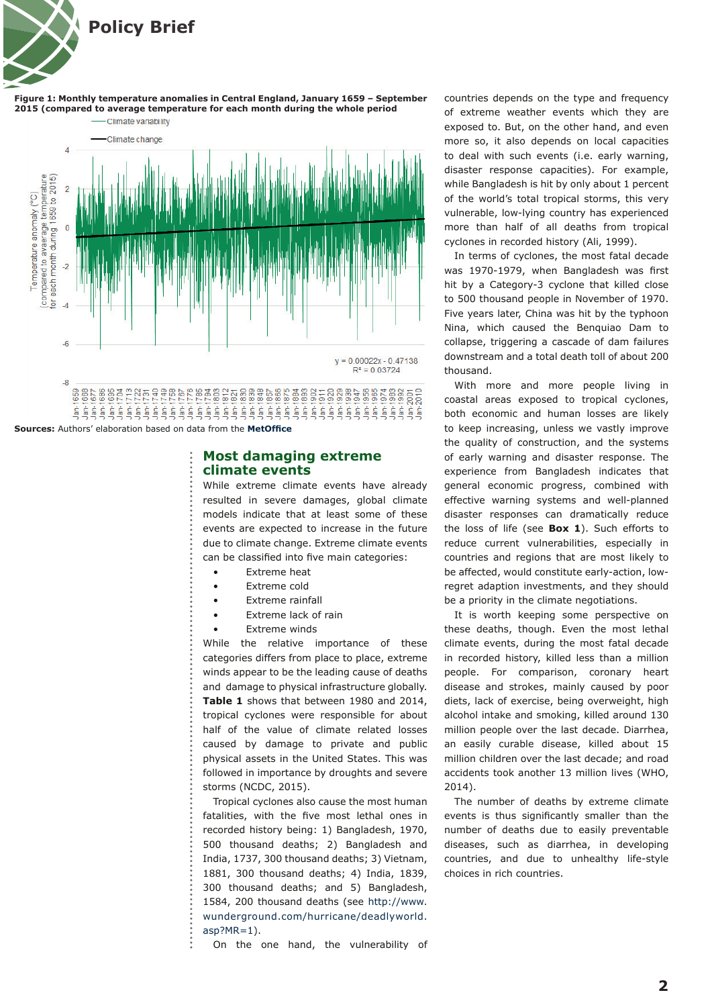<span id="page-1-0"></span>

**Figure 1: Monthly temperature anomalies in Central England, January 1659 – September 2015 (compared to average temperature for each month during the whole period**Climate variability



**Sources:** Authors' elaboration based on data from the **[MetOffice](http://www.metoffice.gov.uk/hadobs/hadcet/data/download.html)**

#### **Most damaging extreme climate events**

While extreme climate events have already resulted in severe damages, global climate models indicate that at least some of these events are expected to increase in the future due to climate change. Extreme climate events can be classified into five main categories:

- Extreme heat
- Extreme cold
- **Extreme rainfall**
- Extreme lack of rain
- Extreme winds

While the relative importance of these categories differs from place to place, extreme winds appear to be the leading cause of deaths and damage to physical infrastructure globally. **Table 1** shows that between 1980 and 2014, tropical cyclones were responsible for about half of the value of climate related losses caused by damage to private and public physical assets in the United States. This was followed in importance by droughts and severe storms (NCDC, 2015).

Tropical cyclones also cause the most human fatalities, with the five most lethal ones in recorded history being: 1) Bangladesh, 1970, 500 thousand deaths; 2) Bangladesh and India, 1737, 300 thousand deaths; 3) Vietnam, 1881, 300 thousand deaths; 4) India, 1839, 300 thousand deaths; and 5) Bangladesh, 1584, 200 thousand deaths (see http://www. wunderground.com/hurricane/deadlyworld. asp?MR=1).

On the one hand, the vulnerability of

countries depends on the type and frequency of extreme weather events which they are exposed to. But, on the other hand, and even more so, it also depends on local capacities to deal with such events (i.e. early warning, disaster response capacities). For example, while Bangladesh is hit by only about 1 percent of the world's total tropical storms, this very vulnerable, low-lying country has experienced more than half of all deaths from tropical cyclones in recorded history (Ali, 1999).

In terms of cyclones, the most fatal decade was 1970-1979, when Bangladesh was first hit by a Category-3 cyclone that killed close to 500 thousand people in November of 1970. Five years later, China was hit by the typhoon Nina, which caused the Benquiao Dam to collapse, triggering a cascade of dam failures downstream and a total death toll of about 200 thousand.

With more and more people living in coastal areas exposed to tropical cyclones, both economic and human losses are likely to keep increasing, unless we vastly improve the quality of construction, and the systems of early warning and disaster response. The experience from Bangladesh indicates that general economic progress, combined with effective warning systems and well-planned disaster responses can dramatically reduce the loss of life (see **[Box 1](#page-2-0)**). Such efforts to reduce current vulnerabilities, especially in countries and regions that are most likely to be affected, would constitute early-action, lowregret adaption investments, and they should be a priority in the climate negotiations.

It is worth keeping some perspective on these deaths, though. Even the most lethal climate events, during the most fatal decade in recorded history, killed less than a million people. For comparison, coronary heart disease and strokes, mainly caused by poor diets, lack of exercise, being overweight, high alcohol intake and smoking, killed around 130 million people over the last decade. Diarrhea, an easily curable disease, killed about 15 million children over the last decade; and road accidents took another 13 million lives (WHO, 2014).

The number of deaths by extreme climate events is thus significantly smaller than the number of deaths due to easily preventable diseases, such as diarrhea, in developing countries, and due to unhealthy life-style choices in rich countries.

**2**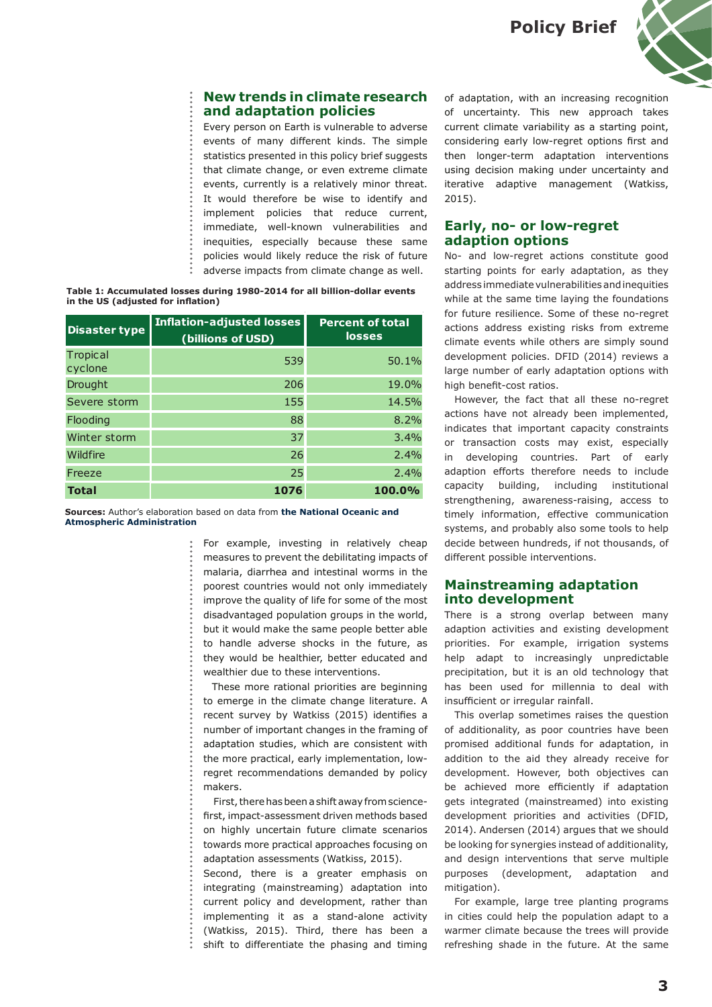**Policy Brief**



## <span id="page-2-0"></span>**New trends in climate research and adaptation policies**

Every person on Earth is vulnerable to adverse events of many different kinds. The simple statistics presented in this policy brief suggests that climate change, or even extreme climate events, currently is a relatively minor threat. It would therefore be wise to identify and implement policies that reduce current, immediate, well-known vulnerabilities and inequities, especially because these same policies would likely reduce the risk of future adverse impacts from climate change as well.

**in the US (adjusted for inflation)**

| Table 1: Accumulated losses during 1980-2014 for all billion-dollar events<br>in the US (adjusted for inflation) |                                                       |                                          |
|------------------------------------------------------------------------------------------------------------------|-------------------------------------------------------|------------------------------------------|
| <b>Disaster type</b>                                                                                             | <b>Inflation-adjusted losses</b><br>(billions of USD) | <b>Percent of total</b><br><b>losses</b> |
| Tropical<br>cyclone                                                                                              | 539                                                   | 50.1%                                    |
| Drought                                                                                                          | 206                                                   | 19.0%                                    |
| Severe storm                                                                                                     | 155                                                   | 14.5%                                    |
| Flooding                                                                                                         | 88                                                    | 8.2%                                     |
| Winter storm                                                                                                     | 37                                                    | 3.4%                                     |
| Wildfire                                                                                                         | 26                                                    | 2.4%                                     |
| Freeze                                                                                                           | 25                                                    | 2.4%                                     |
| <b>Total</b>                                                                                                     | 1076                                                  | 100.0%                                   |

**Sources:** Author's elaboration based on data from **[the National Oceanic and](http://www.ncdc.noaa.gov/billions/summary-stats)  [Atmospheric Administration](http://www.ncdc.noaa.gov/billions/summary-stats)**

> For example, investing in relatively cheap measures to prevent the debilitating impacts of malaria, diarrhea and intestinal worms in the poorest countries would not only immediately improve the quality of life for some of the most disadvantaged population groups in the world, but it would make the same people better able to handle adverse shocks in the future, as they would be healthier, better educated and wealthier due to these interventions.

 These more rational priorities are beginning to emerge in the climate change literature. A recent survey by Watkiss (2015) identifies a number of important changes in the framing of adaptation studies, which are consistent with the more practical, early implementation, lowregret recommendations demanded by policy makers.

First, there has been a shift away from sciencefirst, impact-assessment driven methods based on highly uncertain future climate scenarios towards more practical approaches focusing on adaptation assessments (Watkiss, 2015).

Second, there is a greater emphasis on integrating (mainstreaming) adaptation into current policy and development, rather than implementing it as a stand-alone activity (Watkiss, 2015). Third, there has been a shift to differentiate the phasing and timing

of adaptation, with an increasing recognition of uncertainty. This new approach takes current climate variability as a starting point, considering early low-regret options first and then longer-term adaptation interventions using decision making under uncertainty and iterative adaptive management (Watkiss, 2015).

## **Early, no- or low-regret adaption options**

No- and low-regret actions constitute good starting points for early adaptation, as they address immediate vulnerabilities and inequities while at the same time laying the foundations for future resilience. Some of these no-regret actions address existing risks from extreme climate events while others are simply sound development policies. DFID (2014) reviews a large number of early adaptation options with high benefit-cost ratios.

However, the fact that all these no-regret actions have not already been implemented, indicates that important capacity constraints or transaction costs may exist, especially in developing countries. Part of early adaption efforts therefore needs to include capacity building, including institutional strengthening, awareness-raising, access to timely information, effective communication systems, and probably also some tools to help decide between hundreds, if not thousands, of different possible interventions.

## **Mainstreaming adaptation into development**

There is a strong overlap between many adaption activities and existing development priorities. For example, irrigation systems help adapt to increasingly unpredictable precipitation, but it is an old technology that has been used for millennia to deal with insufficient or irregular rainfall.

This overlap sometimes raises the question of additionality, as poor countries have been promised additional funds for adaptation, in addition to the aid they already receive for development. However, both objectives can be achieved more efficiently if adaptation gets integrated (mainstreamed) into existing development priorities and activities (DFID, 2014). Andersen (2014) argues that we should be looking for synergies instead of additionality, and design interventions that serve multiple purposes (development, adaptation and mitigation).

For example, large tree planting programs in cities could help the population adapt to a warmer climate because the trees will provide refreshing shade in the future. At the same